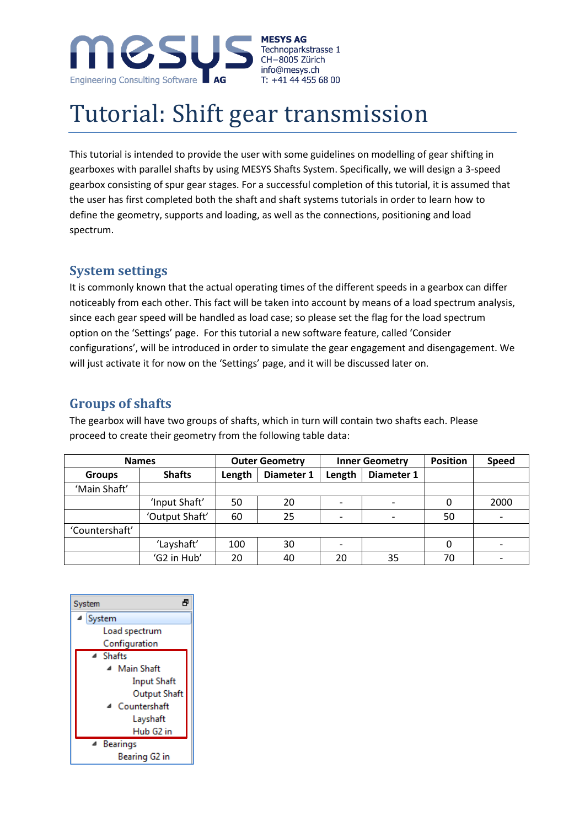

# Tutorial: Shift gear transmission

This tutorial is intended to provide the user with some guidelines on modelling of gear shifting in gearboxes with parallel shafts by using MESYS Shafts System. Specifically, we will design a 3-speed gearbox consisting of spur gear stages. For a successful completion of this tutorial, it is assumed that the user has first completed both the shaft and shaft systems tutorials in order to learn how to define the geometry, supports and loading, as well as the connections, positioning and load spectrum.

#### **System settings**

It is commonly known that the actual operating times of the different speeds in a gearbox can differ noticeably from each other. This fact will be taken into account by means of a load spectrum analysis, since each gear speed will be handled as load case; so please set the flag for the load spectrum option on the 'Settings' page. For this tutorial a new software feature, called 'Consider configurations', will be introduced in order to simulate the gear engagement and disengagement. We will just activate it for now on the 'Settings' page, and it will be discussed later on.

# **Groups of shafts**

The gearbox will have two groups of shafts, which in turn will contain two shafts each. Please proceed to create their geometry from the following table data:

| <b>Names</b>   |                |        | <b>Outer Geometry</b> |                          | <b>Inner Geometry</b> | <b>Position</b> | Speed |
|----------------|----------------|--------|-----------------------|--------------------------|-----------------------|-----------------|-------|
| <b>Groups</b>  | <b>Shafts</b>  | Length | Diameter 1            | Length                   | Diameter 1            |                 |       |
| 'Main Shaft'   |                |        |                       |                          |                       |                 |       |
|                | 'Input Shaft'  | 50     | 20                    | $\overline{\phantom{a}}$ |                       | 0               | 2000  |
|                | 'Output Shaft' | 60     | 25                    | $\overline{\phantom{a}}$ |                       | 50              |       |
| 'Countershaft' |                |        |                       |                          |                       |                 |       |
|                | 'Layshaft'     | 100    | 30                    | $\overline{\phantom{a}}$ |                       | 0               |       |
|                | 'G2 in Hub'    | 20     | 40                    | 20                       | 35                    | 70              |       |

| A<br>System            |  |  |  |  |  |  |
|------------------------|--|--|--|--|--|--|
| ▲ System               |  |  |  |  |  |  |
| Load spectrum          |  |  |  |  |  |  |
| Configuration          |  |  |  |  |  |  |
| ⊿ Shafts               |  |  |  |  |  |  |
| <b>Main Shaft</b><br>⊿ |  |  |  |  |  |  |
| <b>Input Shaft</b>     |  |  |  |  |  |  |
| Output Shaft           |  |  |  |  |  |  |
| Countershaft<br>◢      |  |  |  |  |  |  |
| Layshaft               |  |  |  |  |  |  |
| Hub G2 in              |  |  |  |  |  |  |
| <sup>4</sup> Bearings  |  |  |  |  |  |  |
| Bearing G2 in          |  |  |  |  |  |  |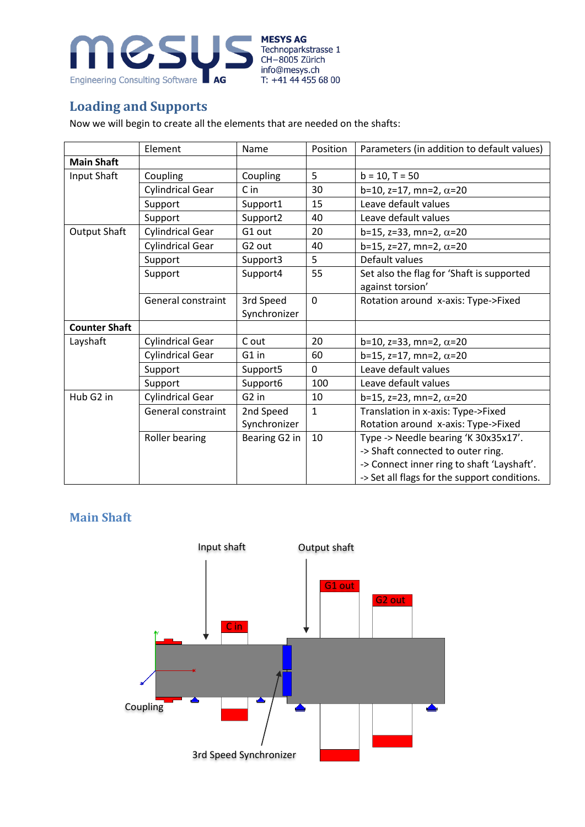

# **Loading and Supports**

Now we will begin to create all the elements that are needed on the shafts:

|                      | Element                   | Name              | Position       | Parameters (in addition to default values)   |  |  |
|----------------------|---------------------------|-------------------|----------------|----------------------------------------------|--|--|
| <b>Main Shaft</b>    |                           |                   |                |                                              |  |  |
| Input Shaft          | Coupling                  | Coupling          | 5              | $b = 10, T = 50$                             |  |  |
|                      | <b>Cylindrical Gear</b>   | C in              | 30             | $b=10$ , z=17, mn=2, $\alpha$ =20            |  |  |
|                      | Support                   | Support1          | 15             | Leave default values                         |  |  |
|                      | Support                   | Support2          | 40             | Leave default values                         |  |  |
| <b>Output Shaft</b>  | <b>Cylindrical Gear</b>   | G1 out            | 20             | b=15, z=33, mn=2, $\alpha$ =20               |  |  |
|                      | <b>Cylindrical Gear</b>   | G2 out            | 40             | $b=15$ , z=27, mn=2, $\alpha=20$             |  |  |
|                      | Support                   | Support3          | 5              | Default values                               |  |  |
|                      | Support                   | Support4          | 55             | Set also the flag for 'Shaft is supported    |  |  |
|                      |                           |                   |                | against torsion'                             |  |  |
|                      | General constraint        | 3rd Speed         | $\overline{0}$ | Rotation around x-axis: Type->Fixed          |  |  |
|                      |                           | Synchronizer      |                |                                              |  |  |
| <b>Counter Shaft</b> |                           |                   |                |                                              |  |  |
| Layshaft             | <b>Cylindrical Gear</b>   | C out             | 20             | b=10, z=33, mn=2, $\alpha$ =20               |  |  |
|                      | <b>Cylindrical Gear</b>   | G1 in             | 60             | $b=15$ , $z=17$ , mn=2, $\alpha=20$          |  |  |
|                      | Support                   | Support5          | $\overline{0}$ | Leave default values                         |  |  |
|                      | Support                   | Support6          | 100            | Leave default values                         |  |  |
| Hub G2 in            | <b>Cylindrical Gear</b>   | G <sub>2</sub> in | 10             | b=15, z=23, mn=2, $\alpha$ =20               |  |  |
|                      | <b>General constraint</b> | 2nd Speed         | $\mathbf{1}$   | Translation in x-axis: Type->Fixed           |  |  |
|                      |                           | Synchronizer      |                | Rotation around x-axis: Type->Fixed          |  |  |
|                      | Roller bearing            | Bearing G2 in     | 10             | Type -> Needle bearing 'K 30x35x17'.         |  |  |
|                      |                           |                   |                | -> Shaft connected to outer ring.            |  |  |
|                      |                           |                   |                | -> Connect inner ring to shaft 'Layshaft'.   |  |  |
|                      |                           |                   |                | -> Set all flags for the support conditions. |  |  |

#### **Main Shaft**

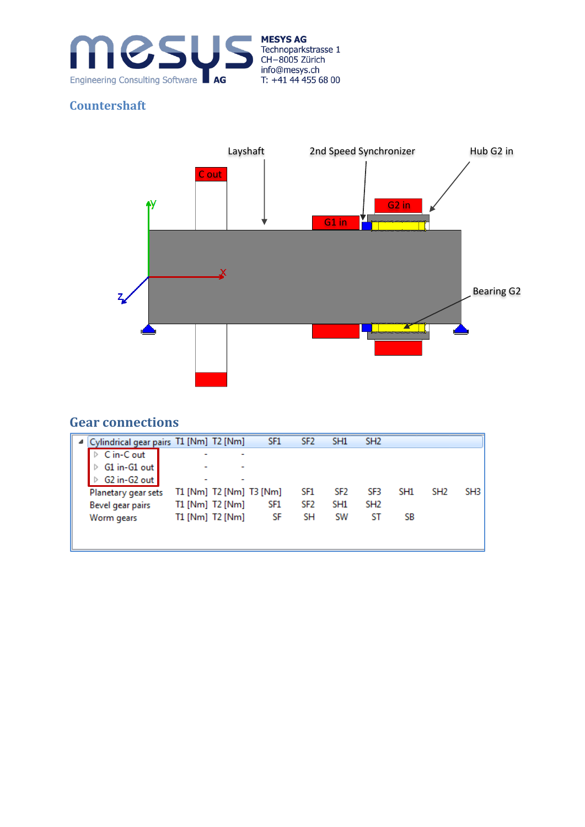

#### **Countershaft**



# **Gear connections**

| Cylindrical gear pairs T1 [Nm] T2 [Nm] |                 |                         | SF <sub>1</sub> | SF <sub>2</sub> | SH <sub>1</sub> | SH <sub>2</sub> |                 |                 |      |
|----------------------------------------|-----------------|-------------------------|-----------------|-----------------|-----------------|-----------------|-----------------|-----------------|------|
| C in-C out                             | -               |                         |                 |                 |                 |                 |                 |                 |      |
| G1 in-G1 out                           | -               |                         |                 |                 |                 |                 |                 |                 |      |
| G2 in-G2 out                           |                 |                         |                 |                 |                 |                 |                 |                 |      |
| Planetary gear sets                    |                 | T1 [Nm] T2 [Nm] T3 [Nm] |                 | SF1             | SF2             | SF3             | SH <sub>1</sub> | SH <sub>2</sub> | SH3. |
| Bevel gear pairs                       | T1 [Nm] T2 [Nm] |                         | SF1             | SF2             | SH <sub>1</sub> | SH <sub>2</sub> |                 |                 |      |
| Worm gears                             | T1 [Nm] T2 [Nm] |                         | SF              | SН              | SW              | ST              | SB              |                 |      |
|                                        |                 |                         |                 |                 |                 |                 |                 |                 |      |
|                                        |                 |                         |                 |                 |                 |                 |                 |                 |      |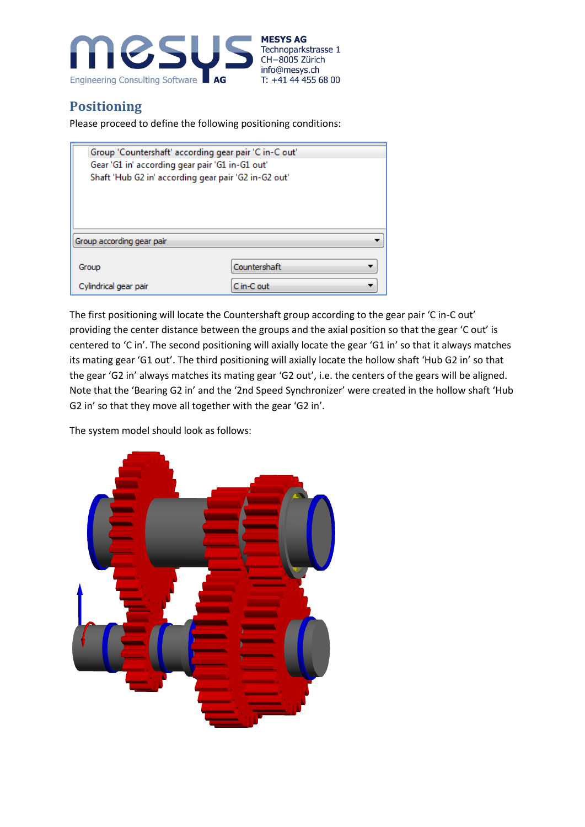

#### **Positioning**

Please proceed to define the following positioning conditions:

| Group 'Countershaft' according gear pair 'C in-C out' |                                                      |  |  |  |  |  |  |  |
|-------------------------------------------------------|------------------------------------------------------|--|--|--|--|--|--|--|
| Gear 'G1 in' according gear pair 'G1 in-G1 out'       |                                                      |  |  |  |  |  |  |  |
|                                                       | Shaft 'Hub G2 in' according gear pair 'G2 in-G2 out' |  |  |  |  |  |  |  |
|                                                       |                                                      |  |  |  |  |  |  |  |
|                                                       |                                                      |  |  |  |  |  |  |  |
|                                                       |                                                      |  |  |  |  |  |  |  |
|                                                       |                                                      |  |  |  |  |  |  |  |
| Group according gear pair                             |                                                      |  |  |  |  |  |  |  |
|                                                       |                                                      |  |  |  |  |  |  |  |
| Group                                                 | Countershaft                                         |  |  |  |  |  |  |  |
|                                                       |                                                      |  |  |  |  |  |  |  |
| Cylindrical gear pair                                 | C in-C out                                           |  |  |  |  |  |  |  |

The first positioning will locate the Countershaft group according to the gear pair 'C in-C out' providing the center distance between the groups and the axial position so that the gear 'C out' is centered to 'C in'. The second positioning will axially locate the gear 'G1 in' so that it always matches its mating gear 'G1 out'. The third positioning will axially locate the hollow shaft 'Hub G2 in' so that the gear 'G2 in' always matches its mating gear 'G2 out', i.e. the centers of the gears will be aligned. Note that the 'Bearing G2 in' and the '2nd Speed Synchronizer' were created in the hollow shaft 'Hub G2 in' so that they move all together with the gear 'G2 in'.

The system model should look as follows:

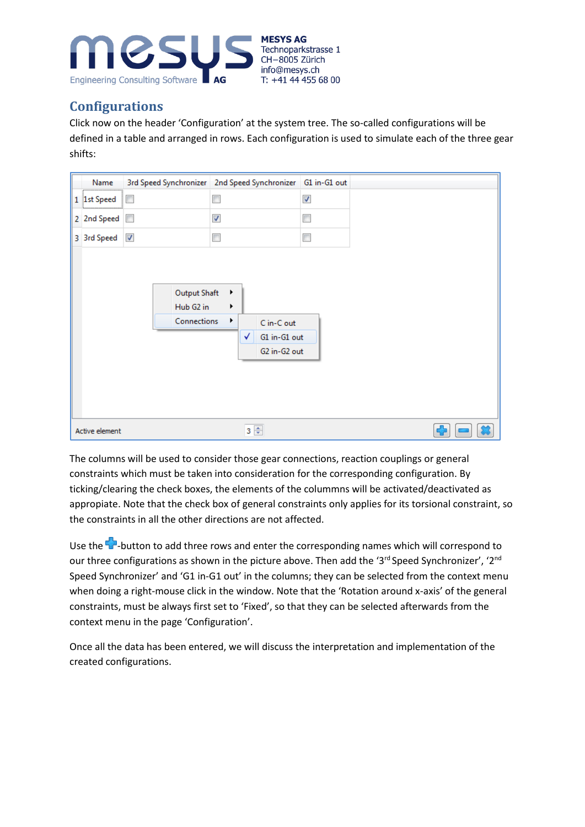

#### **Configurations**

Click now on the header 'Configuration' at the system tree. The so-called configurations will be defined in a table and arranged in rows. Each configuration is used to simulate each of the three gear shifts:

| Name            |                                                 | 3rd Speed Synchronizer   2nd Speed Synchronizer   G1 in-G1 out            |                      |
|-----------------|-------------------------------------------------|---------------------------------------------------------------------------|----------------------|
| 1 1st Speed<br> | $\overline{\phantom{a}}$                        | П                                                                         | $\blacktriangledown$ |
| 2 2nd Speed     | $\overline{\phantom{a}}$                        | $\boldsymbol{J}$                                                          | П                    |
| 3 3rd Speed     | √                                               | $\overline{\phantom{a}}$                                                  | П                    |
|                 | <b>Output Shaft</b><br>Hub G2 in<br>Connections | Þ<br>r<br>٠<br>C in-C out<br>$\checkmark$<br>G1 in-G1 out<br>G2 in-G2 out |                      |
| Active element  |                                                 | $3 \div$                                                                  |                      |

The columns will be used to consider those gear connections, reaction couplings or general constraints which must be taken into consideration for the corresponding configuration. By ticking/clearing the check boxes, the elements of the colummns will be activated/deactivated as appropiate. Note that the check box of general constraints only applies for its torsional constraint, so the constraints in all the other directions are not affected.

Use the <sup>-</sup>button to add three rows and enter the corresponding names which will correspond to our three configurations as shown in the picture above. Then add the '3<sup>rd</sup> Speed Synchronizer', '2<sup>nd</sup> Speed Synchronizer' and 'G1 in-G1 out' in the columns; they can be selected from the context menu when doing a right-mouse click in the window. Note that the 'Rotation around x-axis' of the general constraints, must be always first set to 'Fixed', so that they can be selected afterwards from the context menu in the page 'Configuration'.

Once all the data has been entered, we will discuss the interpretation and implementation of the created configurations.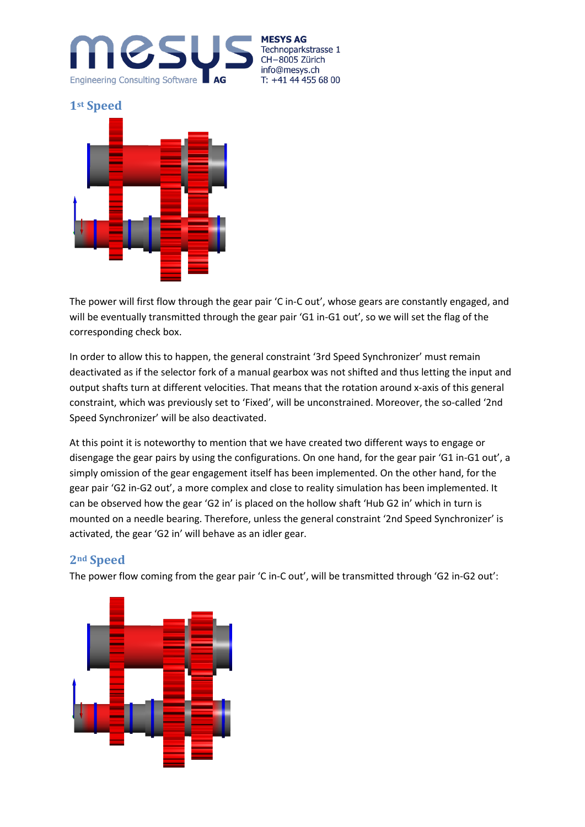

**MESYS AG** Technoparkstrasse 1 CH-8005 Zürich info@mesys.ch T: +41 44 455 68 00

**1st Speed**



The power will first flow through the gear pair 'C in-C out', whose gears are constantly engaged, and will be eventually transmitted through the gear pair 'G1 in-G1 out', so we will set the flag of the corresponding check box.

In order to allow this to happen, the general constraint '3rd Speed Synchronizer' must remain deactivated as if the selector fork of a manual gearbox was not shifted and thus letting the input and output shafts turn at different velocities. That means that the rotation around x-axis of this general constraint, which was previously set to 'Fixed', will be unconstrained. Moreover, the so-called '2nd Speed Synchronizer' will be also deactivated.

At this point it is noteworthy to mention that we have created two different ways to engage or disengage the gear pairs by using the configurations. On one hand, for the gear pair 'G1 in-G1 out', a simply omission of the gear engagement itself has been implemented. On the other hand, for the gear pair 'G2 in-G2 out', a more complex and close to reality simulation has been implemented. It can be observed how the gear 'G2 in' is placed on the hollow shaft 'Hub G2 in' which in turn is mounted on a needle bearing. Therefore, unless the general constraint '2nd Speed Synchronizer' is activated, the gear 'G2 in' will behave as an idler gear.

#### **2nd Speed**

The power flow coming from the gear pair 'C in-C out', will be transmitted through 'G2 in-G2 out':